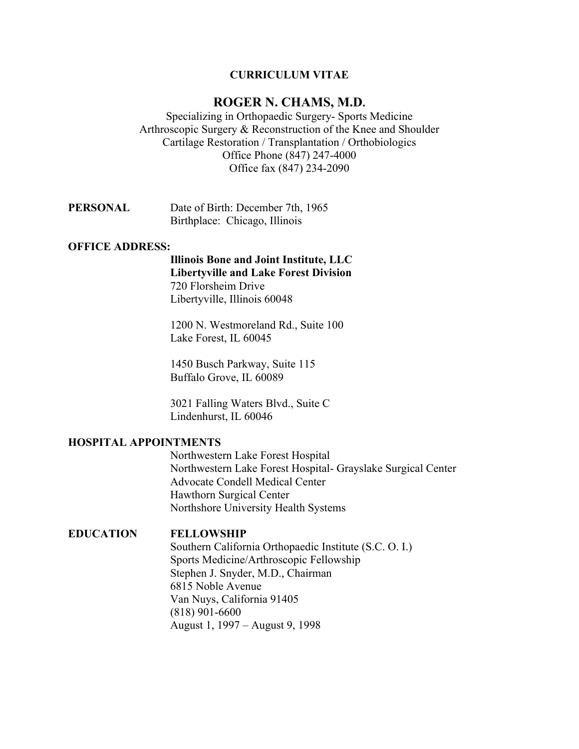# **CURRICULUM VITAE**

# **ROGER N. CHAMS, M.D.**

Specializing in Orthopaedic Surgery- Sports Medicine Arthroscopic Surgery & Reconstruction of the Knee and Shoulder Cartilage Restoration / Transplantation / Orthobiologics Office Phone (847) 247-4000 Office fax (847) 234-2090

| PERSONAL | Date of Birth: December 7th, 1965 |
|----------|-----------------------------------|
|          | Birthplace: Chicago, Illinois     |

### **OFFICE ADDRESS:**

**Illinois Bone and Joint Institute, LLC Libertyville and Lake Forest Division** 720 Florsheim Drive Libertyville, Illinois 60048

1200 N. Westmoreland Rd., Suite 100 Lake Forest, IL 60045

1450 Busch Parkway, Suite 115 Buffalo Grove, IL 60089

3021 Falling Waters Blvd., Suite C Lindenhurst, IL 60046

# **HOSPITAL APPOINTMENTS**

Northwestern Lake Forest Hospital Northwestern Lake Forest Hospital- Grayslake Surgical Center Advocate Condell Medical Center Hawthorn Surgical Center Northshore University Health Systems

#### **EDUCATION FELLOWSHIP**

Southern California Orthopaedic Institute (S.C. O. I.) Sports Medicine/Arthroscopic Fellowship Stephen J. Snyder, M.D., Chairman 6815 Noble Avenue Van Nuys, California 91405 (818) 901-6600 August 1, 1997 – August 9, 1998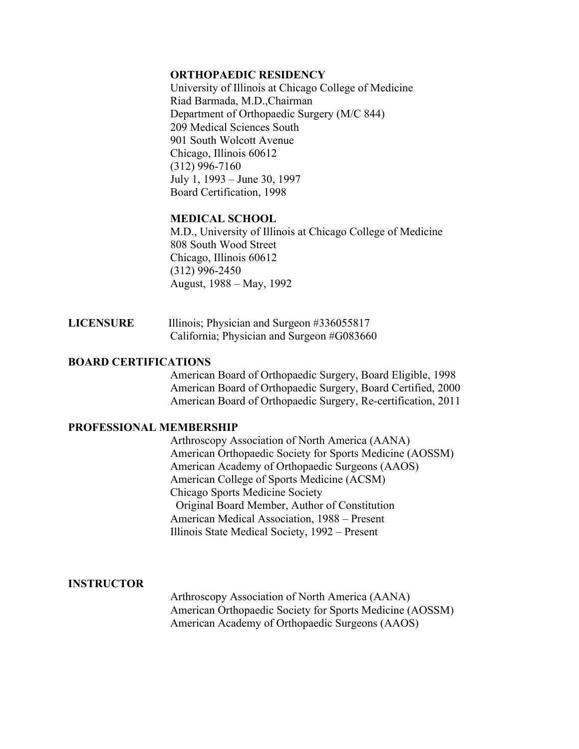### **ORTHOPAEDIC RESIDENCY**

University of Illinois at Chicago College of Medicine Riad Barmada, M.D.,Chairman Department of Orthopaedic Surgery (M/C 844) 209 Medical Sciences South 901 South Wolcott Avenue Chicago, Illinois 60612 (312) 996-7160 July 1, 1993 – June 30, 1997 Board Certification, 1998

# **MEDICAL SCHOOL**

M.D., University of Illinois at Chicago College of Medicine 808 South Wood Street Chicago, Illinois 60612 (312) 996-2450 August, 1988 – May, 1992

| <b>LICENSURE</b> | Illinois; Physician and Surgeon #336055817 |
|------------------|--------------------------------------------|
|                  | California; Physician and Surgeon #G083660 |

# **BOARD CERTIFICATIONS**

American Board of Orthopaedic Surgery, Board Eligible, 1998 American Board of Orthopaedic Surgery, Board Certified, 2000 American Board of Orthopaedic Surgery, Re-certification, 2011

#### **PROFESSIONAL MEMBERSHIP**

Arthroscopy Association of North America (AANA) American Orthopaedic Society for Sports Medicine (AOSSM) American Academy of Orthopaedic Surgeons (AAOS) American College of Sports Medicine (ACSM) Chicago Sports Medicine Society Original Board Member, Author of Constitution American Medical Association, 1988 – Present Illinois State Medical Society, 1992 – Present

# **INSTRUCTOR**

Arthroscopy Association of North America (AANA) American Orthopaedic Society for Sports Medicine (AOSSM) American Academy of Orthopaedic Surgeons (AAOS)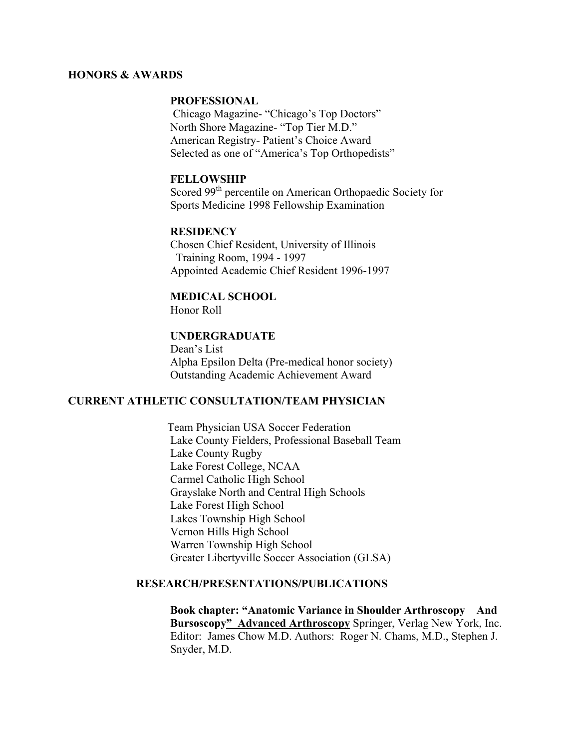#### **HONORS & AWARDS**

#### **PROFESSIONAL**

Chicago Magazine- "Chicago's Top Doctors" North Shore Magazine- "Top Tier M.D." American Registry- Patient's Choice Award Selected as one of "America's Top Orthopedists"

### **FELLOWSHIP**

Scored 99<sup>th</sup> percentile on American Orthopaedic Society for Sports Medicine 1998 Fellowship Examination

### **RESIDENCY**

Chosen Chief Resident, University of Illinois Training Room, 1994 - 1997 Appointed Academic Chief Resident 1996-1997

# **MEDICAL SCHOOL**

Honor Roll

#### **UNDERGRADUATE**

Dean's List Alpha Epsilon Delta (Pre-medical honor society) Outstanding Academic Achievement Award

# **CURRENT ATHLETIC CONSULTATION/TEAM PHYSICIAN**

 Team Physician USA Soccer Federation Lake County Fielders, Professional Baseball Team Lake County Rugby Lake Forest College, NCAA Carmel Catholic High School Grayslake North and Central High Schools Lake Forest High School Lakes Township High School Vernon Hills High School Warren Township High School Greater Libertyville Soccer Association (GLSA)

# **RESEARCH/PRESENTATIONS/PUBLICATIONS**

**Book chapter: "Anatomic Variance in Shoulder Arthroscopy And Bursoscopy" Advanced Arthroscopy** Springer, Verlag New York, Inc. Editor: James Chow M.D. Authors: Roger N. Chams, M.D., Stephen J. Snyder, M.D.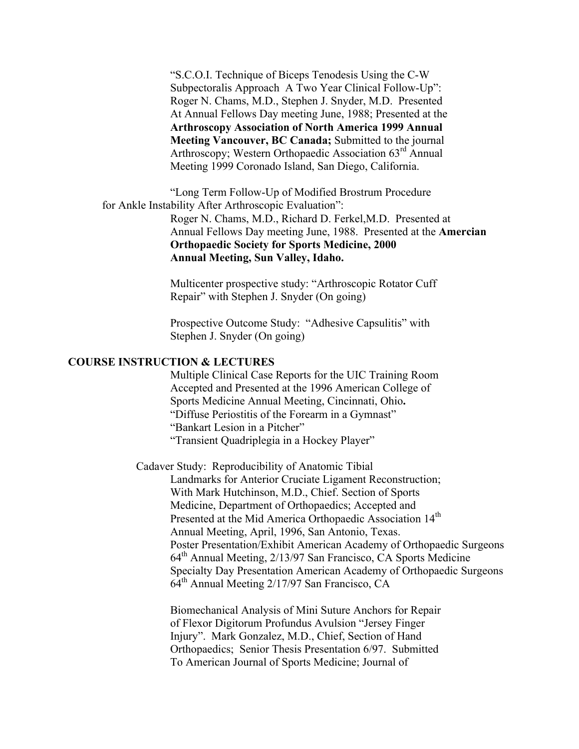"S.C.O.I. Technique of Biceps Tenodesis Using the C-W Subpectoralis Approach A Two Year Clinical Follow-Up": Roger N. Chams, M.D., Stephen J. Snyder, M.D. Presented At Annual Fellows Day meeting June, 1988; Presented at the **Arthroscopy Association of North America 1999 Annual Meeting Vancouver, BC Canada;** Submitted to the journal Arthroscopy; Western Orthopaedic Association 63<sup>rd</sup> Annual Meeting 1999 Coronado Island, San Diego, California.

"Long Term Follow-Up of Modified Brostrum Procedure for Ankle Instability After Arthroscopic Evaluation":

> Roger N. Chams, M.D., Richard D. Ferkel,M.D. Presented at Annual Fellows Day meeting June, 1988. Presented at the **Amercian Orthopaedic Society for Sports Medicine, 2000 Annual Meeting, Sun Valley, Idaho.**

Multicenter prospective study: "Arthroscopic Rotator Cuff Repair" with Stephen J. Snyder (On going)

Prospective Outcome Study: "Adhesive Capsulitis" with Stephen J. Snyder (On going)

#### **COURSE INSTRUCTION & LECTURES**

Multiple Clinical Case Reports for the UIC Training Room Accepted and Presented at the 1996 American College of Sports Medicine Annual Meeting, Cincinnati, Ohio**.** "Diffuse Periostitis of the Forearm in a Gymnast" "Bankart Lesion in a Pitcher" "Transient Quadriplegia in a Hockey Player"

Cadaver Study: Reproducibility of Anatomic Tibial Landmarks for Anterior Cruciate Ligament Reconstruction; With Mark Hutchinson, M.D., Chief. Section of Sports Medicine, Department of Orthopaedics; Accepted and Presented at the Mid America Orthopaedic Association 14<sup>th</sup> Annual Meeting, April, 1996, San Antonio, Texas. Poster Presentation/Exhibit American Academy of Orthopaedic Surgeons 64th Annual Meeting, 2/13/97 San Francisco, CA Sports Medicine Specialty Day Presentation American Academy of Orthopaedic Surgeons 64th Annual Meeting 2/17/97 San Francisco, CA

Biomechanical Analysis of Mini Suture Anchors for Repair of Flexor Digitorum Profundus Avulsion "Jersey Finger Injury". Mark Gonzalez, M.D., Chief, Section of Hand Orthopaedics; Senior Thesis Presentation 6/97. Submitted To American Journal of Sports Medicine; Journal of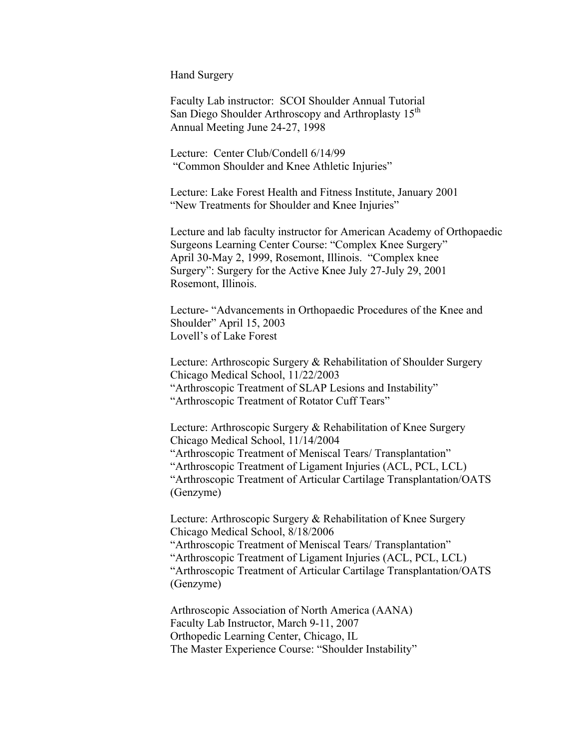Hand Surgery

Faculty Lab instructor: SCOI Shoulder Annual Tutorial San Diego Shoulder Arthroscopy and Arthroplasty 15<sup>th</sup> Annual Meeting June 24-27, 1998

Lecture: Center Club/Condell 6/14/99 "Common Shoulder and Knee Athletic Injuries"

Lecture: Lake Forest Health and Fitness Institute, January 2001 "New Treatments for Shoulder and Knee Injuries"

Lecture and lab faculty instructor for American Academy of Orthopaedic Surgeons Learning Center Course: "Complex Knee Surgery" April 30-May 2, 1999, Rosemont, Illinois. "Complex knee Surgery": Surgery for the Active Knee July 27-July 29, 2001 Rosemont, Illinois.

Lecture- "Advancements in Orthopaedic Procedures of the Knee and Shoulder" April 15, 2003 Lovell's of Lake Forest

Lecture: Arthroscopic Surgery & Rehabilitation of Shoulder Surgery Chicago Medical School, 11/22/2003 "Arthroscopic Treatment of SLAP Lesions and Instability" "Arthroscopic Treatment of Rotator Cuff Tears"

Lecture: Arthroscopic Surgery & Rehabilitation of Knee Surgery Chicago Medical School, 11/14/2004 "Arthroscopic Treatment of Meniscal Tears/ Transplantation" "Arthroscopic Treatment of Ligament Injuries (ACL, PCL, LCL) "Arthroscopic Treatment of Articular Cartilage Transplantation/OATS (Genzyme)

Lecture: Arthroscopic Surgery & Rehabilitation of Knee Surgery Chicago Medical School, 8/18/2006 "Arthroscopic Treatment of Meniscal Tears/ Transplantation" "Arthroscopic Treatment of Ligament Injuries (ACL, PCL, LCL) "Arthroscopic Treatment of Articular Cartilage Transplantation/OATS (Genzyme)

Arthroscopic Association of North America (AANA) Faculty Lab Instructor, March 9-11, 2007 Orthopedic Learning Center, Chicago, IL The Master Experience Course: "Shoulder Instability"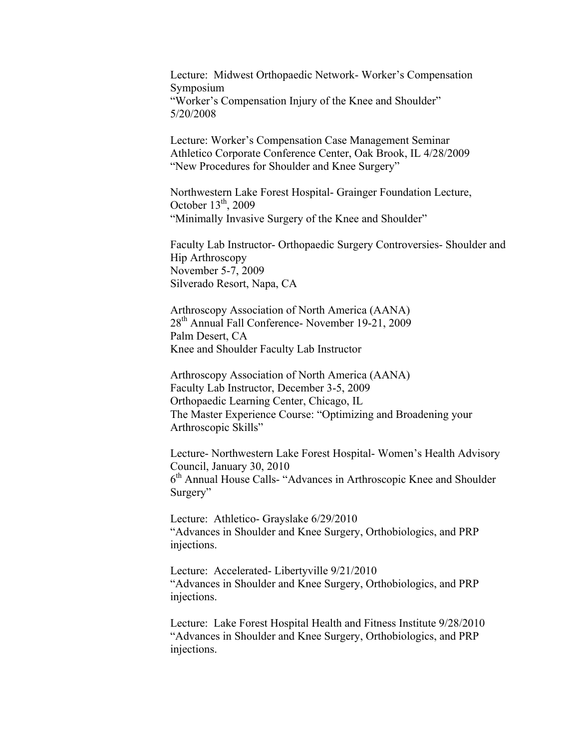Lecture: Midwest Orthopaedic Network- Worker's Compensation Symposium "Worker's Compensation Injury of the Knee and Shoulder" 5/20/2008

Lecture: Worker's Compensation Case Management Seminar Athletico Corporate Conference Center, Oak Brook, IL 4/28/2009 "New Procedures for Shoulder and Knee Surgery"

Northwestern Lake Forest Hospital- Grainger Foundation Lecture, October  $13<sup>th</sup>$ , 2009 "Minimally Invasive Surgery of the Knee and Shoulder"

Faculty Lab Instructor- Orthopaedic Surgery Controversies- Shoulder and Hip Arthroscopy November 5-7, 2009 Silverado Resort, Napa, CA

Arthroscopy Association of North America (AANA) 28th Annual Fall Conference- November 19-21, 2009 Palm Desert, CA Knee and Shoulder Faculty Lab Instructor

Arthroscopy Association of North America (AANA) Faculty Lab Instructor, December 3-5, 2009 Orthopaedic Learning Center, Chicago, IL The Master Experience Course: "Optimizing and Broadening your Arthroscopic Skills"

Lecture- Northwestern Lake Forest Hospital- Women's Health Advisory Council, January 30, 2010 6th Annual House Calls- "Advances in Arthroscopic Knee and Shoulder Surgery"

Lecture: Athletico- Grayslake 6/29/2010 "Advances in Shoulder and Knee Surgery, Orthobiologics, and PRP injections.

Lecture: Accelerated- Libertyville 9/21/2010 "Advances in Shoulder and Knee Surgery, Orthobiologics, and PRP injections.

Lecture: Lake Forest Hospital Health and Fitness Institute 9/28/2010 "Advances in Shoulder and Knee Surgery, Orthobiologics, and PRP injections.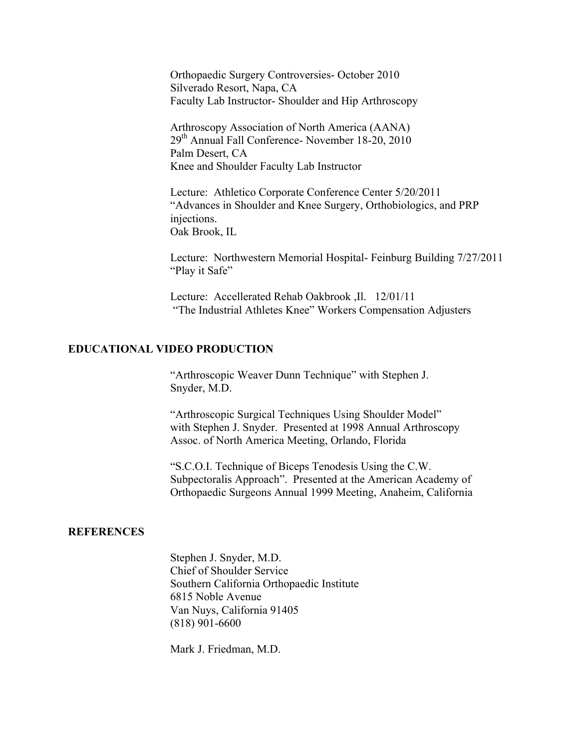Orthopaedic Surgery Controversies- October 2010 Silverado Resort, Napa, CA Faculty Lab Instructor- Shoulder and Hip Arthroscopy

Arthroscopy Association of North America (AANA) 29th Annual Fall Conference- November 18-20, 2010 Palm Desert, CA Knee and Shoulder Faculty Lab Instructor

Lecture: Athletico Corporate Conference Center 5/20/2011 "Advances in Shoulder and Knee Surgery, Orthobiologics, and PRP injections. Oak Brook, IL

Lecture: Northwestern Memorial Hospital- Feinburg Building 7/27/2011 "Play it Safe"

Lecture: Accellerated Rehab Oakbrook ,Il. 12/01/11 "The Industrial Athletes Knee" Workers Compensation Adjusters

# **EDUCATIONAL VIDEO PRODUCTION**

"Arthroscopic Weaver Dunn Technique" with Stephen J. Snyder, M.D.

"Arthroscopic Surgical Techniques Using Shoulder Model" with Stephen J. Snyder. Presented at 1998 Annual Arthroscopy Assoc. of North America Meeting, Orlando, Florida

"S.C.O.I. Technique of Biceps Tenodesis Using the C.W. Subpectoralis Approach". Presented at the American Academy of Orthopaedic Surgeons Annual 1999 Meeting, Anaheim, California

#### **REFERENCES**

Stephen J. Snyder, M.D. Chief of Shoulder Service Southern California Orthopaedic Institute 6815 Noble Avenue Van Nuys, California 91405 (818) 901-6600

Mark J. Friedman, M.D.